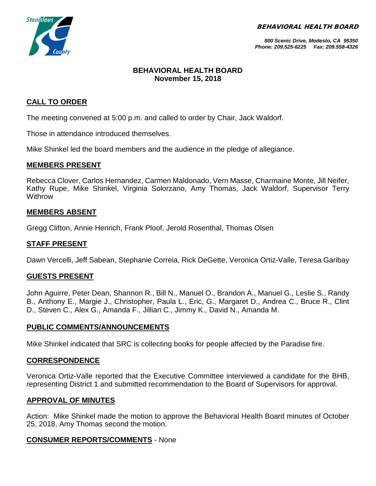BEHAVIORAL HEALTH BOARD



#### *800 Scenic Drive, Modesto, CA 95350 Phone: 209.525-6225 Fax: 209.558-4326*

## **BEHAVIORAL HEALTH BOARD November 15, 2018**

# **CALL TO ORDER**

The meeting convened at 5:00 p.m. and called to order by Chair, Jack Waldorf.

Those in attendance introduced themselves.

Mike Shinkel led the board members and the audience in the pledge of allegiance.

#### **MEMBERS PRESENT**

Rebecca Clover, Carlos Hernandez, Carmen Maldonado, Vern Masse, Charmaine Monte, Jill Neifer, Kathy Rupe, Mike Shinkel, Virginia Solorzano, Amy Thomas, Jack Waldorf, Supervisor Terry Withrow

### **MEMBERS ABSENT**

Gregg Clifton, Annie Henrich, Frank Ploof, Jerold Rosenthal, Thomas Olsen

### **STAFF PRESENT**

Dawn Vercelli, Jeff Sabean, Stephanie Correia, Rick DeGette, Veronica Ortiz-Valle, Teresa Garibay

### **GUESTS PRESENT**

John Aguirre, Peter Dean, Shannon R., Bill N., Manuel O., Brandon A., Manuel G., Leslie S., Randy B., Anthony E., Margie J., Christopher, Paula L., Eric, G., Margaret D., Andrea C., Bruce R., Clint D., Steven C., Alex G., Amanda F., Jillian C., Jimmy K., David N., Amanda M.

### **PUBLIC COMMENTS/ANNOUNCEMENTS**

Mike Shinkel indicated that SRC is collecting books for people affected by the Paradise fire.

### **CORRESPONDENCE**

Veronica Ortiz-Valle reported that the Executive Committee interviewed a candidate for the BHB, representing District 1 and submitted recommendation to the Board of Supervisors for approval.

### **APPROVAL OF MINUTES**

Action: Mike Shinkel made the motion to approve the Behavioral Health Board minutes of October 25, 2018, Amy Thomas second the motion.

### **CONSUMER REPORTS/COMMENTS** - None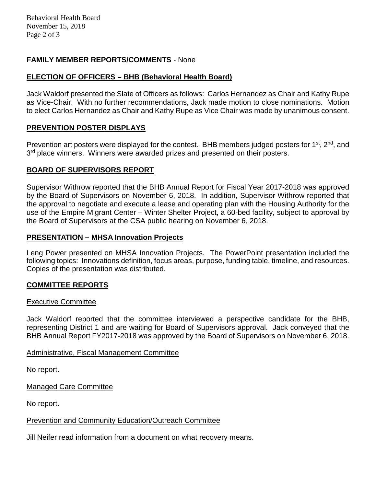# **FAMILY MEMBER REPORTS/COMMENTS** - None

# **ELECTION OF OFFICERS – BHB (Behavioral Health Board)**

Jack Waldorf presented the Slate of Officers as follows: Carlos Hernandez as Chair and Kathy Rupe as Vice-Chair. With no further recommendations, Jack made motion to close nominations. Motion to elect Carlos Hernandez as Chair and Kathy Rupe as Vice Chair was made by unanimous consent.

# **PREVENTION POSTER DISPLAYS**

Prevention art posters were displayed for the contest. BHB members judged posters for 1<sup>st</sup>, 2<sup>nd</sup>, and 3<sup>rd</sup> place winners. Winners were awarded prizes and presented on their posters.

### **BOARD OF SUPERVISORS REPORT**

Supervisor Withrow reported that the BHB Annual Report for Fiscal Year 2017-2018 was approved by the Board of Supervisors on November 6, 2018. In addition, Supervisor Withrow reported that the approval to negotiate and execute a lease and operating plan with the Housing Authority for the use of the Empire Migrant Center – Winter Shelter Project, a 60-bed facility, subject to approval by the Board of Supervisors at the CSA public hearing on November 6, 2018.

### **PRESENTATION – MHSA Innovation Projects**

Leng Power presented on MHSA Innovation Projects. The PowerPoint presentation included the following topics: Innovations definition, focus areas, purpose, funding table, timeline, and resources. Copies of the presentation was distributed.

### **COMMITTEE REPORTS**

#### Executive Committee

Jack Waldorf reported that the committee interviewed a perspective candidate for the BHB, representing District 1 and are waiting for Board of Supervisors approval. Jack conveyed that the BHB Annual Report FY2017-2018 was approved by the Board of Supervisors on November 6, 2018.

### Administrative, Fiscal Management Committee

No report.

Managed Care Committee

No report.

### Prevention and Community Education/Outreach Committee

Jill Neifer read information from a document on what recovery means.